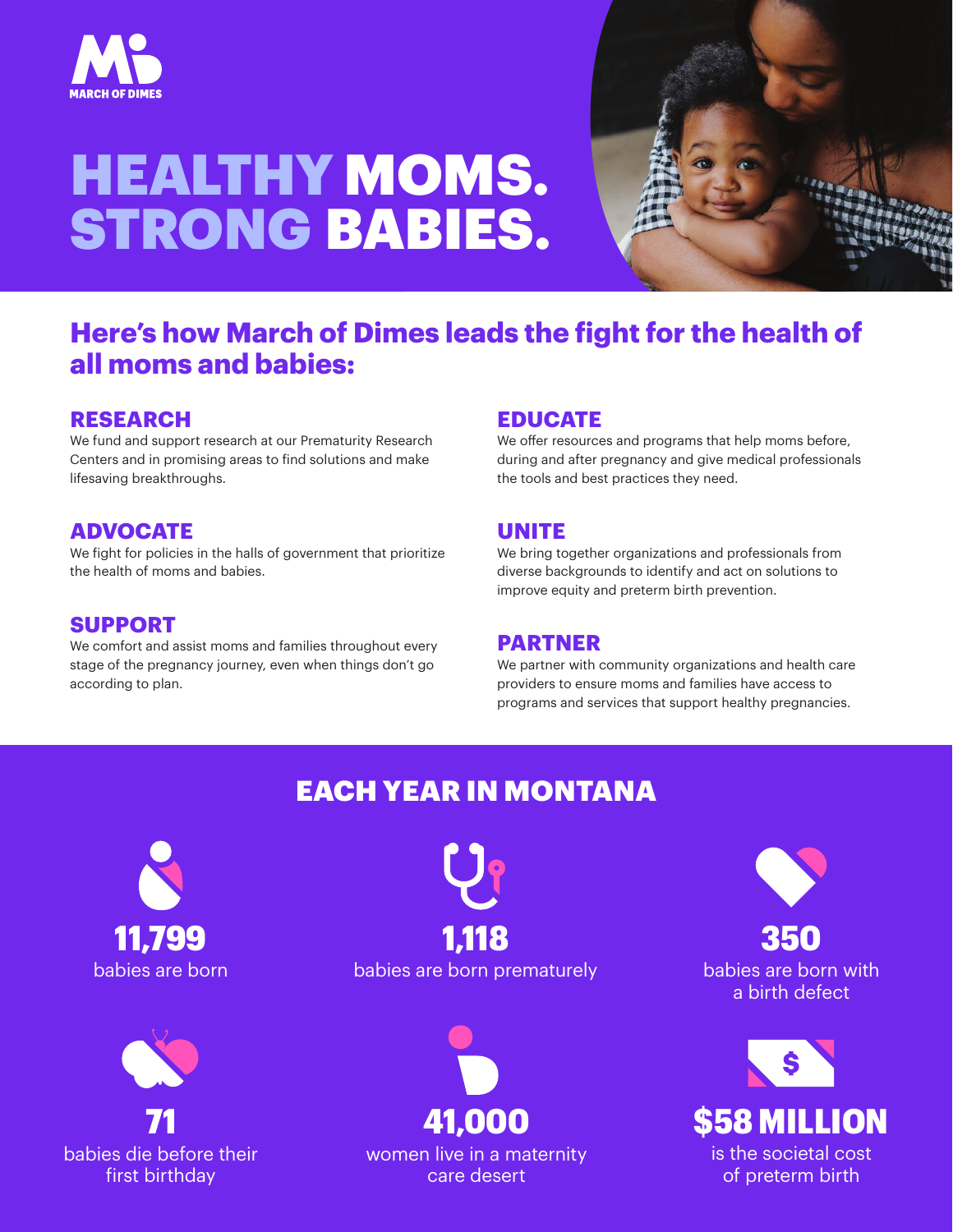

# HEALTHY MOMS. STRONG BABIES.



## **Here's how March of Dimes leads the fight for the health of all moms and babies:**

### **RESEARCH**

We fund and support research at our Prematurity Research Centers and in promising areas to find solutions and make lifesaving breakthroughs.

## **ADVOCATE**

We fight for policies in the halls of government that prioritize the health of moms and babies.

#### **SUPPORT**

We comfort and assist moms and families throughout every stage of the pregnancy journey, even when things don't go according to plan.

### **EDUCATE**

We offer resources and programs that help moms before, during and after pregnancy and give medical professionals the tools and best practices they need.

### **UNITE**

We bring together organizations and professionals from diverse backgrounds to identify and act on solutions to improve equity and preterm birth prevention.

#### **PARTNER**

We partner with community organizations and health care providers to ensure moms and families have access to programs and services that support healthy pregnancies.

## EACH YEAR IN MONTANA





babies are born babies are born prematurely 11,799 1,118



women live in a maternity care desert

350

babies are born with a birth defect



of preterm birth